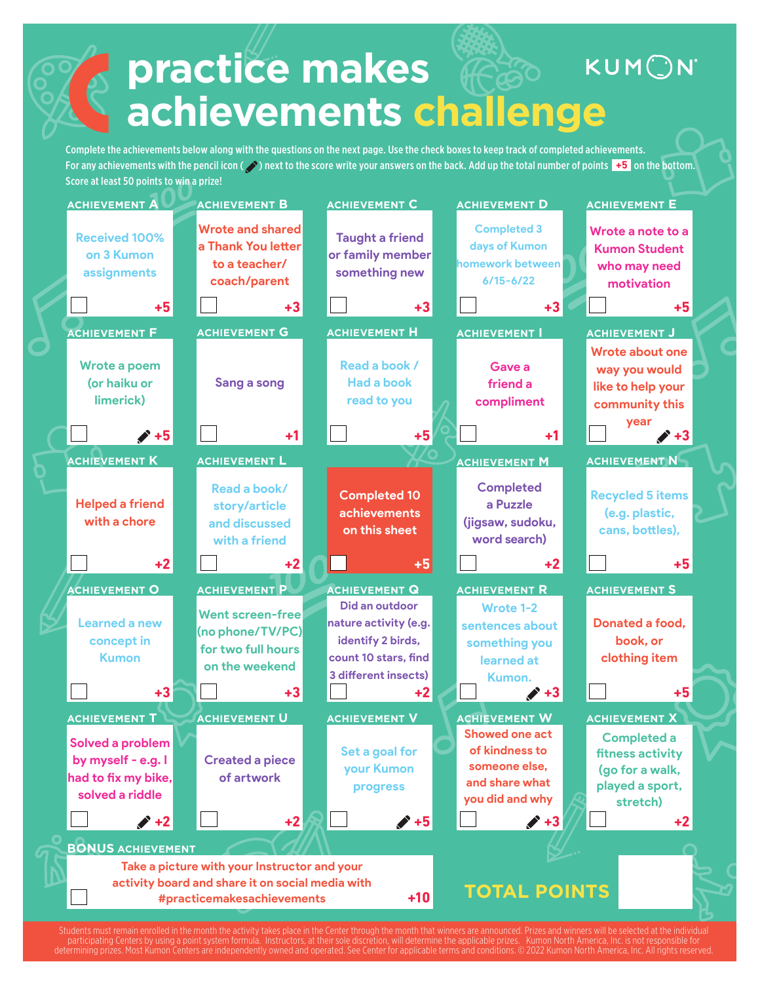## **practice makes** KUMON **achievements challenge**

Complete the achievements below along with the questions on the next page. Use the check boxes to keep track of completed achievements. For any achievements with the pencil icon (  $\Diamond$  ) next to the score write your answers on the back. Add up the total number of points  $+5$  on the bottom. Score at least 50 points to win a prize!



onth that winners are announced. Prizes and winners will be selected at the individual<br>I determine the applicable prizes. Kumon North America, Inc. is not responsible for participating Centers by using a point system formula.<br>Instructors, at the application of determining prizes. Most Kumon Centers are independent